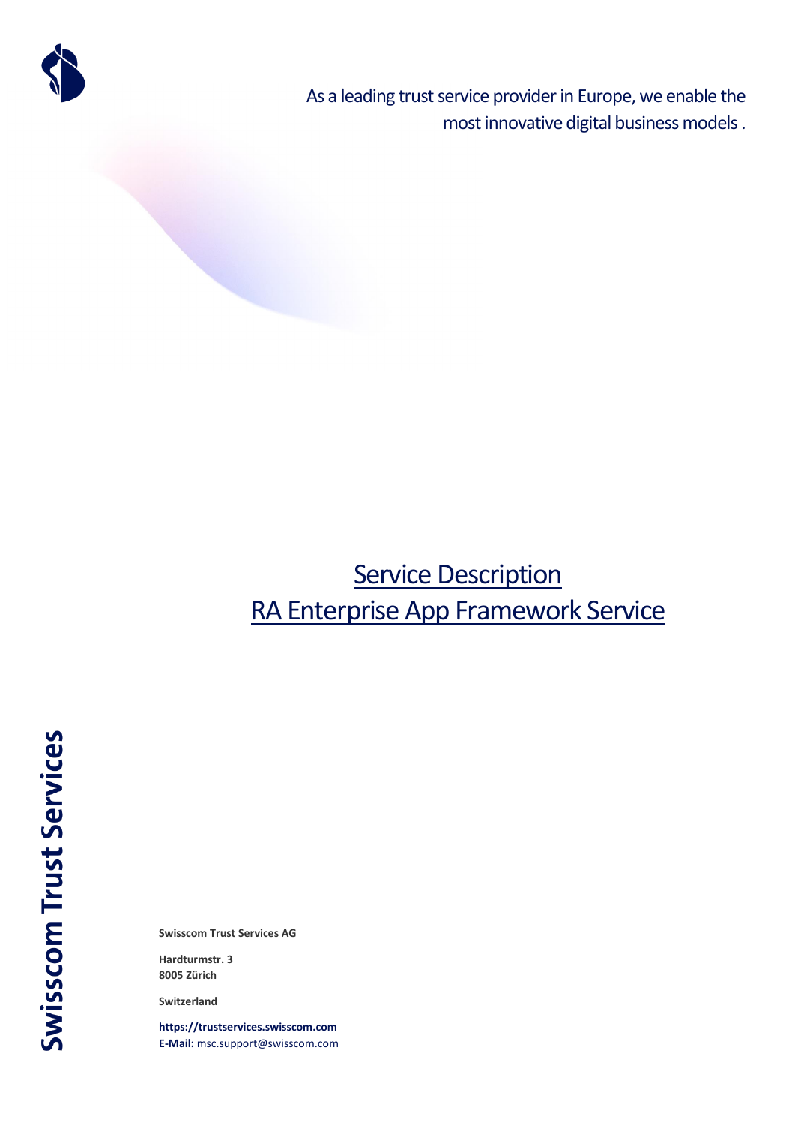

As a leading trust service provider in Europe, we enable the most innovative digital business models .

# **Service Description** RA Enterprise App Framework Service

**Swisscom Trust Services AG**

**Hardturmstr. 3 8005 Zürich**

**Switzerland**

**[https://trustservices.swisscom.com](https://trustservices.swisscom.com/) E-Mail:** [msc.support@swisscom.com](mailto:msc.support@swisscom.com)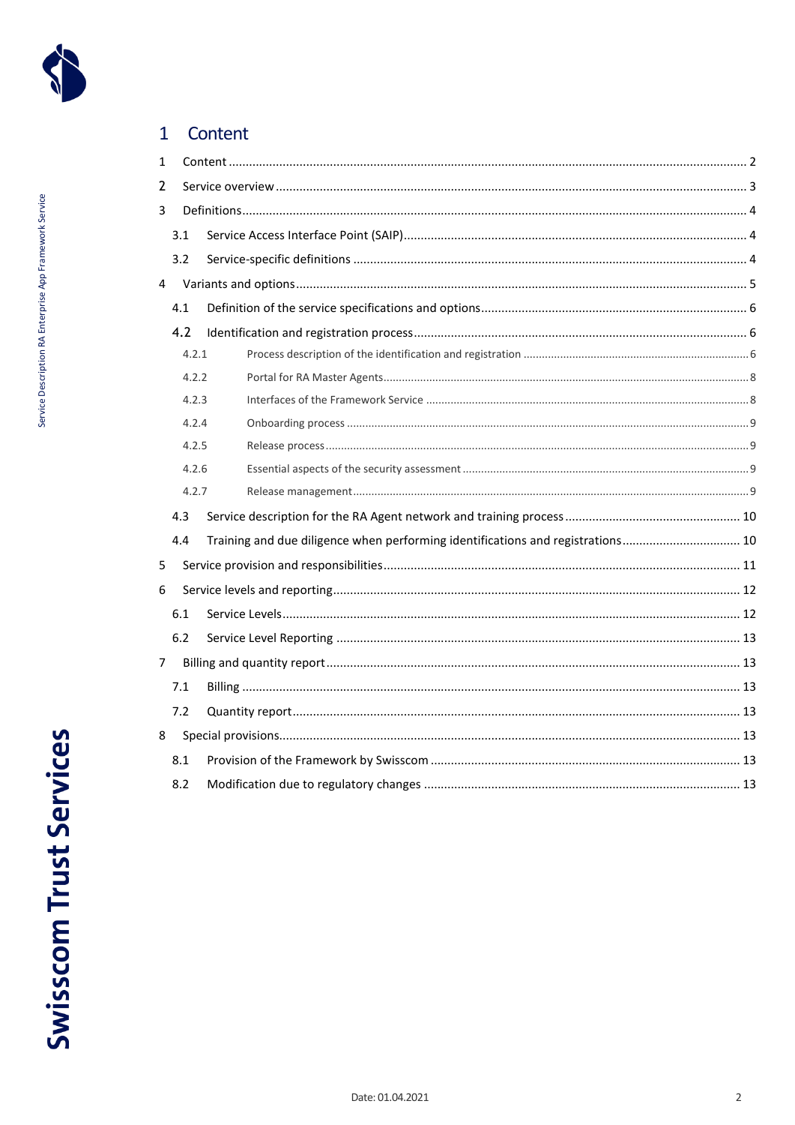

### <span id="page-1-0"></span> $\overline{1}$ Content

| 1              |       |                                                                                 |  |
|----------------|-------|---------------------------------------------------------------------------------|--|
| 2              |       |                                                                                 |  |
| 3              |       |                                                                                 |  |
|                | 3.1   |                                                                                 |  |
|                | 3.2   |                                                                                 |  |
| 4              |       |                                                                                 |  |
|                | 4.1   |                                                                                 |  |
|                | 4.2   |                                                                                 |  |
|                | 4.2.1 |                                                                                 |  |
|                | 4.2.2 |                                                                                 |  |
|                | 4.2.3 |                                                                                 |  |
|                | 4.2.4 |                                                                                 |  |
|                | 4.2.5 |                                                                                 |  |
|                | 4.2.6 |                                                                                 |  |
|                | 4.2.7 |                                                                                 |  |
|                | 4.3   |                                                                                 |  |
|                | 4.4   | Training and due diligence when performing identifications and registrations 10 |  |
| 5              |       |                                                                                 |  |
| 6              |       |                                                                                 |  |
|                | 6.1   |                                                                                 |  |
|                | 6.2   |                                                                                 |  |
| 7 <sup>7</sup> |       |                                                                                 |  |
|                | 7.1   |                                                                                 |  |
|                | 7.2   |                                                                                 |  |
| 8              |       |                                                                                 |  |
|                | 8.1   |                                                                                 |  |
|                | 8.2   |                                                                                 |  |
|                |       |                                                                                 |  |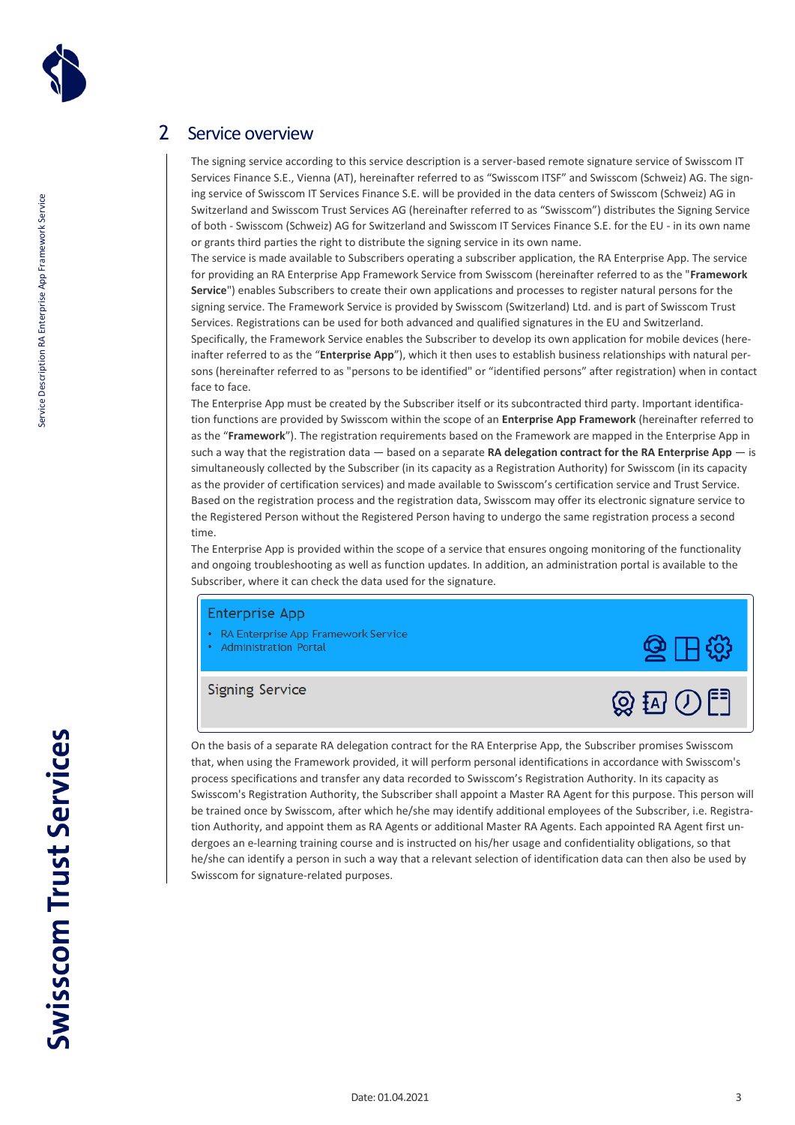

# <span id="page-2-0"></span>2 Service overview

The signing service according to this service description is a server-based remote signature service of Swisscom IT Services Finance S.E., Vienna (AT), hereinafter referred to as "Swisscom ITSF" and Swisscom (Schweiz) AG. The signing service of Swisscom IT Services Finance S.E. will be provided in the data centers of Swisscom (Schweiz) AG in Switzerland and Swisscom Trust Services AG (hereinafter referred to as "Swisscom") distributes the Signing Service of both - Swisscom (Schweiz) AG for Switzerland and Swisscom IT Services Finance S.E. for the EU - in its own name or grants third parties the right to distribute the signing service in its own name.

The service is made available to Subscribers operating a subscriber application, the RA Enterprise App. The service for providing an RA Enterprise App Framework Service from Swisscom (hereinafter referred to as the "**Framework Service**") enables Subscribers to create their own applications and processes to register natural persons for the signing service. The Framework Service is provided by Swisscom (Switzerland) Ltd. and is part of Swisscom Trust Services. Registrations can be used for both advanced and qualified signatures in the EU and Switzerland.

Specifically, the Framework Service enables the Subscriber to develop its own application for mobile devices (hereinafter referred to as the "**Enterprise App**"), which it then uses to establish business relationships with natural persons (hereinafter referred to as "persons to be identified" or "identified persons" after registration) when in contact face to face.

The Enterprise App must be created by the Subscriber itself or its subcontracted third party. Important identification functions are provided by Swisscom within the scope of an **Enterprise App Framework** (hereinafter referred to as the "**Framework**"). The registration requirements based on the Framework are mapped in the Enterprise App in such a way that the registration data — based on a separate **RA delegation contract for the RA Enterprise App** — is simultaneously collected by the Subscriber (in its capacity as a Registration Authority) for Swisscom (in its capacity as the provider of certification services) and made available to Swisscom's certification service and Trust Service. Based on the registration process and the registration data, Swisscom may offer its electronic signature service to the Registered Person without the Registered Person having to undergo the same registration process a second time.

The Enterprise App is provided within the scope of a service that ensures ongoing monitoring of the functionality and ongoing troubleshooting as well as function updates. In addition, an administration portal is available to the Subscriber, where it can check the data used for the signature.

### **Enterprise App**

- RA Enterprise App Framework Service
- **Administration Portal**

**Signing Service** 



On the basis of a separate RA delegation contract for the RA Enterprise App, the Subscriber promises Swisscom that, when using the Framework provided, it will perform personal identifications in accordance with Swisscom's process specifications and transfer any data recorded to Swisscom's Registration Authority. In its capacity as Swisscom's Registration Authority, the Subscriber shall appoint a Master RA Agent for this purpose. This person will be trained once by Swisscom, after which he/she may identify additional employees of the Subscriber, i.e. Registration Authority, and appoint them as RA Agents or additional Master RA Agents. Each appointed RA Agent first undergoes an e-learning training course and is instructed on his/her usage and confidentiality obligations, so that he/she can identify a person in such a way that a relevant selection of identification data can then also be used by Swisscom for signature-related purposes.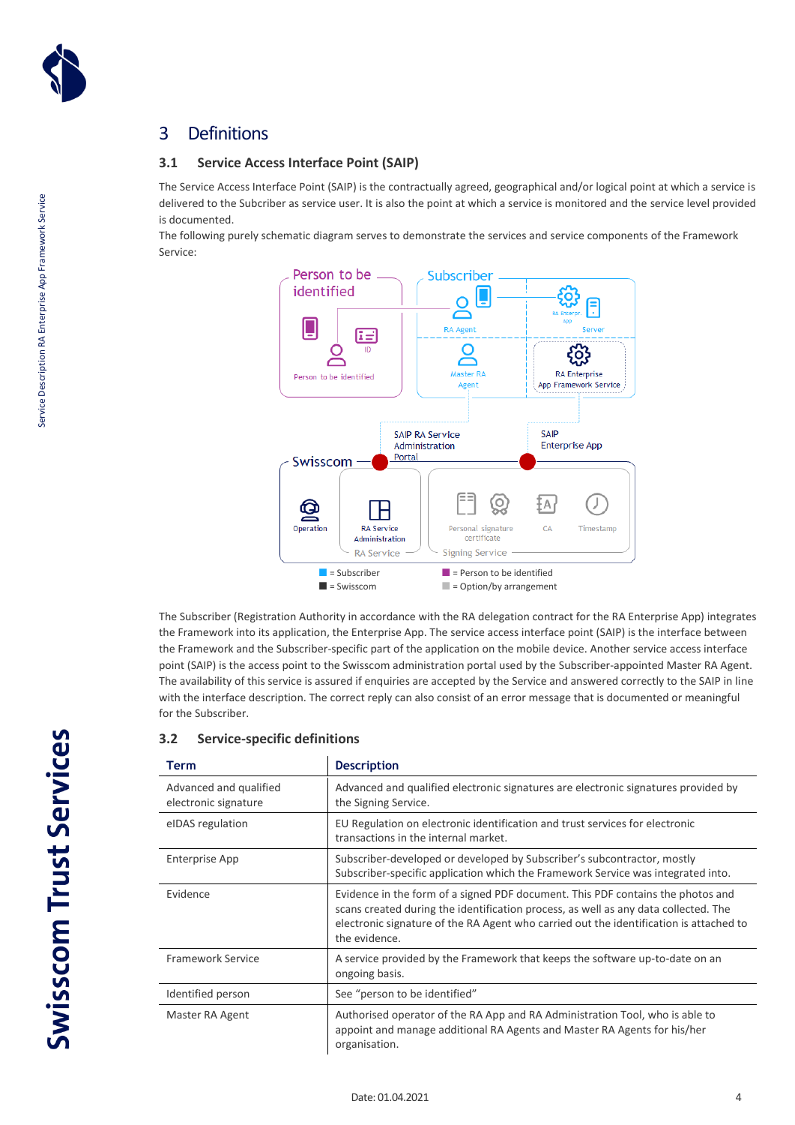

# <span id="page-3-0"></span>3 Definitions

### <span id="page-3-1"></span>**3.1 Service Access Interface Point (SAIP)**

The Service Access Interface Point (SAIP) is the contractually agreed, geographical and/or logical point at which a service is delivered to the Subcriber as service user. It is also the point at which a service is monitored and the service level provided is documented.

The following purely schematic diagram serves to demonstrate the services and service components of the Framework Service:



The Subscriber (Registration Authority in accordance with the RA delegation contract for the RA Enterprise App) integrates the Framework into its application, the Enterprise App. The service access interface point (SAIP) is the interface between the Framework and the Subscriber-specific part of the application on the mobile device. Another service access interface point (SAIP) is the access point to the Swisscom administration portal used by the Subscriber-appointed Master RA Agent. The availability of this service is assured if enquiries are accepted by the Service and answered correctly to the SAIP in line with the interface description. The correct reply can also consist of an error message that is documented or meaningful for the Subscriber.

### <span id="page-3-2"></span>**3.2 Service-specific definitions**

| <b>Term</b>                                    | <b>Description</b>                                                                                                                                                                                                                                                                |
|------------------------------------------------|-----------------------------------------------------------------------------------------------------------------------------------------------------------------------------------------------------------------------------------------------------------------------------------|
| Advanced and qualified<br>electronic signature | Advanced and qualified electronic signatures are electronic signatures provided by<br>the Signing Service.                                                                                                                                                                        |
| eIDAS regulation                               | EU Regulation on electronic identification and trust services for electronic<br>transactions in the internal market.                                                                                                                                                              |
| Enterprise App                                 | Subscriber-developed or developed by Subscriber's subcontractor, mostly<br>Subscriber-specific application which the Framework Service was integrated into.                                                                                                                       |
| Evidence                                       | Evidence in the form of a signed PDF document. This PDF contains the photos and<br>scans created during the identification process, as well as any data collected. The<br>electronic signature of the RA Agent who carried out the identification is attached to<br>the evidence. |
| <b>Framework Service</b>                       | A service provided by the Framework that keeps the software up-to-date on an<br>ongoing basis.                                                                                                                                                                                    |
| Identified person                              | See "person to be identified"                                                                                                                                                                                                                                                     |
| Master RA Agent                                | Authorised operator of the RA App and RA Administration Tool, who is able to<br>appoint and manage additional RA Agents and Master RA Agents for his/her<br>organisation.                                                                                                         |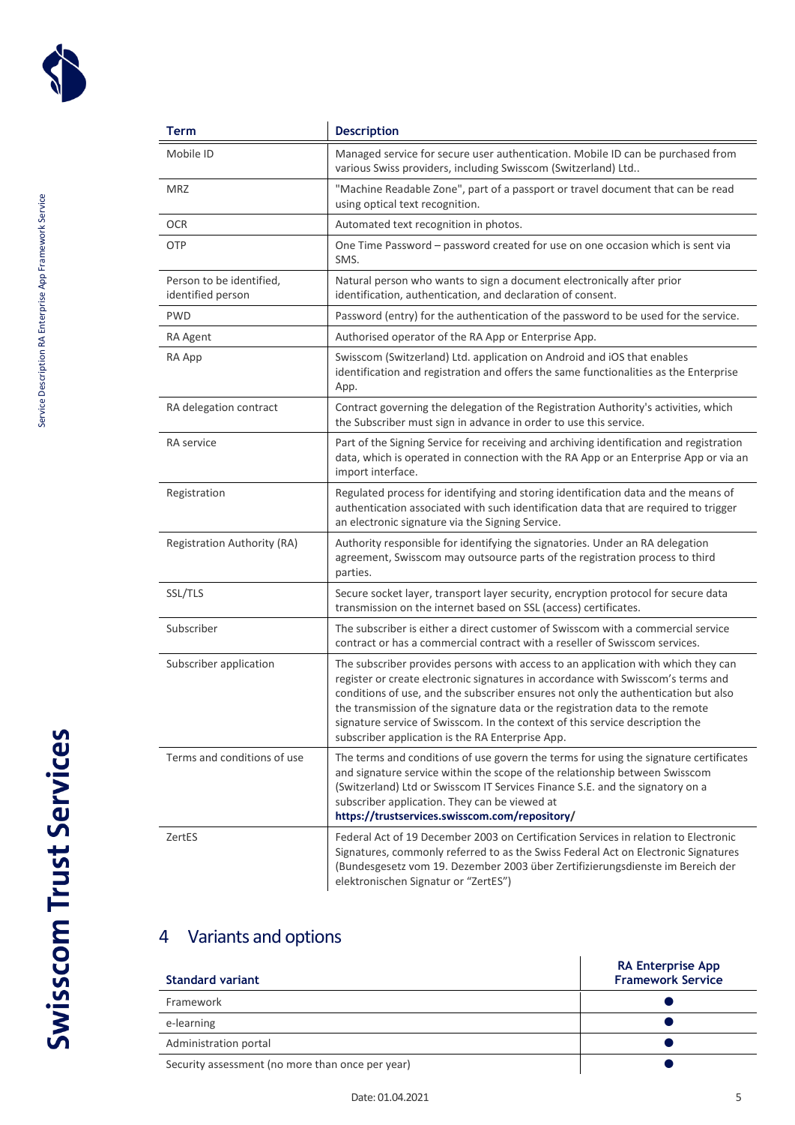

| Term                                          | <b>Description</b>                                                                                                                                                                                                                                                                                                                                                                                                                                                                |
|-----------------------------------------------|-----------------------------------------------------------------------------------------------------------------------------------------------------------------------------------------------------------------------------------------------------------------------------------------------------------------------------------------------------------------------------------------------------------------------------------------------------------------------------------|
| Mobile ID                                     | Managed service for secure user authentication. Mobile ID can be purchased from<br>various Swiss providers, including Swisscom (Switzerland) Ltd                                                                                                                                                                                                                                                                                                                                  |
| <b>MRZ</b>                                    | "Machine Readable Zone", part of a passport or travel document that can be read<br>using optical text recognition.                                                                                                                                                                                                                                                                                                                                                                |
| <b>OCR</b>                                    | Automated text recognition in photos.                                                                                                                                                                                                                                                                                                                                                                                                                                             |
| OTP                                           | One Time Password - password created for use on one occasion which is sent via<br>SMS.                                                                                                                                                                                                                                                                                                                                                                                            |
| Person to be identified,<br>identified person | Natural person who wants to sign a document electronically after prior<br>identification, authentication, and declaration of consent.                                                                                                                                                                                                                                                                                                                                             |
| PWD                                           | Password (entry) for the authentication of the password to be used for the service.                                                                                                                                                                                                                                                                                                                                                                                               |
| RA Agent                                      | Authorised operator of the RA App or Enterprise App.                                                                                                                                                                                                                                                                                                                                                                                                                              |
| RA App                                        | Swisscom (Switzerland) Ltd. application on Android and iOS that enables<br>identification and registration and offers the same functionalities as the Enterprise<br>App.                                                                                                                                                                                                                                                                                                          |
| RA delegation contract                        | Contract governing the delegation of the Registration Authority's activities, which<br>the Subscriber must sign in advance in order to use this service.                                                                                                                                                                                                                                                                                                                          |
| <b>RA</b> service                             | Part of the Signing Service for receiving and archiving identification and registration<br>data, which is operated in connection with the RA App or an Enterprise App or via an<br>import interface.                                                                                                                                                                                                                                                                              |
| Registration                                  | Regulated process for identifying and storing identification data and the means of<br>authentication associated with such identification data that are required to trigger<br>an electronic signature via the Signing Service.                                                                                                                                                                                                                                                    |
| Registration Authority (RA)                   | Authority responsible for identifying the signatories. Under an RA delegation<br>agreement, Swisscom may outsource parts of the registration process to third<br>parties.                                                                                                                                                                                                                                                                                                         |
| SSL/TLS                                       | Secure socket layer, transport layer security, encryption protocol for secure data<br>transmission on the internet based on SSL (access) certificates.                                                                                                                                                                                                                                                                                                                            |
| Subscriber                                    | The subscriber is either a direct customer of Swisscom with a commercial service<br>contract or has a commercial contract with a reseller of Swisscom services.                                                                                                                                                                                                                                                                                                                   |
| Subscriber application                        | The subscriber provides persons with access to an application with which they can<br>register or create electronic signatures in accordance with Swisscom's terms and<br>conditions of use, and the subscriber ensures not only the authentication but also<br>the transmission of the signature data or the registration data to the remote<br>signature service of Swisscom. In the context of this service description the<br>subscriber application is the RA Enterprise App. |
| Terms and conditions of use                   | The terms and conditions of use govern the terms for using the signature certificates<br>and signature service within the scope of the relationship between Swisscom<br>(Switzerland) Ltd or Swisscom IT Services Finance S.E. and the signatory on a<br>subscriber application. They can be viewed at<br>https://trustservices.swisscom.com/repository/                                                                                                                          |
| ZertES                                        | Federal Act of 19 December 2003 on Certification Services in relation to Electronic<br>Signatures, commonly referred to as the Swiss Federal Act on Electronic Signatures<br>(Bundesgesetz vom 19. Dezember 2003 über Zertifizierungsdienste im Bereich der<br>elektronischen Signatur or "ZertES")                                                                                                                                                                               |

# <span id="page-4-0"></span>4 Variants and options

| <b>Standard variant</b>                          | <b>RA Enterprise App</b><br><b>Framework Service</b> |
|--------------------------------------------------|------------------------------------------------------|
| Framework                                        |                                                      |
| e-learning                                       |                                                      |
| Administration portal                            |                                                      |
| Security assessment (no more than once per year) |                                                      |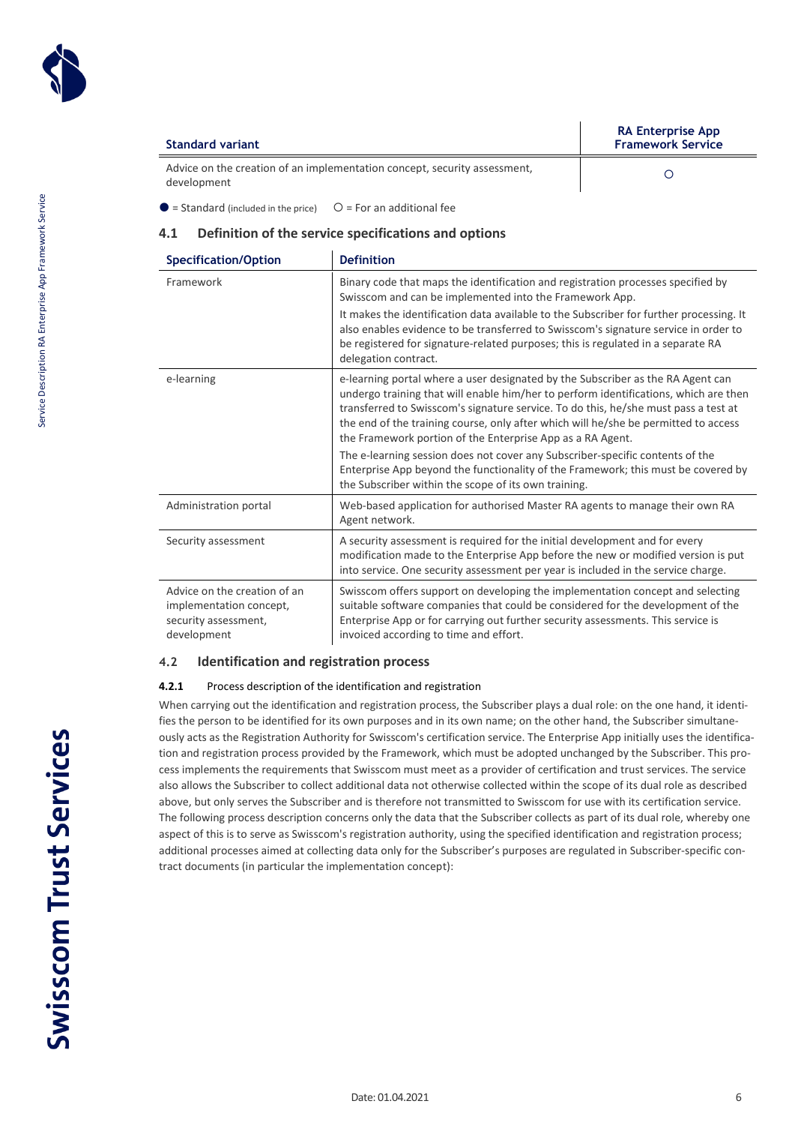

| Standard variant                                                                         |  | <b>RA Enterprise App</b><br><b>Framework Service</b> |
|------------------------------------------------------------------------------------------|--|------------------------------------------------------|
| Advice on the creation of an implementation concept, security assessment,<br>development |  |                                                      |
| $\bullet$ = Standard (included in the price) $\circ$ = For an additional fee             |  |                                                      |

<span id="page-5-0"></span>**4.1 Definition of the service specifications and options**

| <b>Specification/Option</b>                                                                    | <b>Definition</b>                                                                                                                                                                                                                                                                                                                                                                                                                                                                                                                                                                                                                                 |
|------------------------------------------------------------------------------------------------|---------------------------------------------------------------------------------------------------------------------------------------------------------------------------------------------------------------------------------------------------------------------------------------------------------------------------------------------------------------------------------------------------------------------------------------------------------------------------------------------------------------------------------------------------------------------------------------------------------------------------------------------------|
| Framework                                                                                      | Binary code that maps the identification and registration processes specified by<br>Swisscom and can be implemented into the Framework App.<br>It makes the identification data available to the Subscriber for further processing. It<br>also enables evidence to be transferred to Swisscom's signature service in order to<br>be registered for signature-related purposes; this is regulated in a separate RA<br>delegation contract.                                                                                                                                                                                                         |
| e-learning                                                                                     | e-learning portal where a user designated by the Subscriber as the RA Agent can<br>undergo training that will enable him/her to perform identifications, which are then<br>transferred to Swisscom's signature service. To do this, he/she must pass a test at<br>the end of the training course, only after which will he/she be permitted to access<br>the Framework portion of the Enterprise App as a RA Agent.<br>The e-learning session does not cover any Subscriber-specific contents of the<br>Enterprise App beyond the functionality of the Framework; this must be covered by<br>the Subscriber within the scope of its own training. |
| Administration portal                                                                          | Web-based application for authorised Master RA agents to manage their own RA<br>Agent network.                                                                                                                                                                                                                                                                                                                                                                                                                                                                                                                                                    |
| Security assessment                                                                            | A security assessment is required for the initial development and for every<br>modification made to the Enterprise App before the new or modified version is put<br>into service. One security assessment per year is included in the service charge.                                                                                                                                                                                                                                                                                                                                                                                             |
| Advice on the creation of an<br>implementation concept,<br>security assessment,<br>development | Swisscom offers support on developing the implementation concept and selecting<br>suitable software companies that could be considered for the development of the<br>Enterprise App or for carrying out further security assessments. This service is<br>invoiced according to time and effort.                                                                                                                                                                                                                                                                                                                                                   |

### <span id="page-5-1"></span>**4.2 Identification and registration process**

### <span id="page-5-2"></span>**4.2.1** Process description of the identification and registration

When carrying out the identification and registration process, the Subscriber plays a dual role: on the one hand, it identifies the person to be identified for its own purposes and in its own name; on the other hand, the Subscriber simultaneously acts as the Registration Authority for Swisscom's certification service. The Enterprise App initially uses the identification and registration process provided by the Framework, which must be adopted unchanged by the Subscriber. This process implements the requirements that Swisscom must meet as a provider of certification and trust services. The service also allows the Subscriber to collect additional data not otherwise collected within the scope of its dual role as described above, but only serves the Subscriber and is therefore not transmitted to Swisscom for use with its certification service. The following process description concerns only the data that the Subscriber collects as part of its dual role, whereby one aspect of this is to serve as Swisscom's registration authority, using the specified identification and registration process; additional processes aimed at collecting data only for the Subscriber's purposes are regulated in Subscriber-specific contract documents (in particular the implementation concept):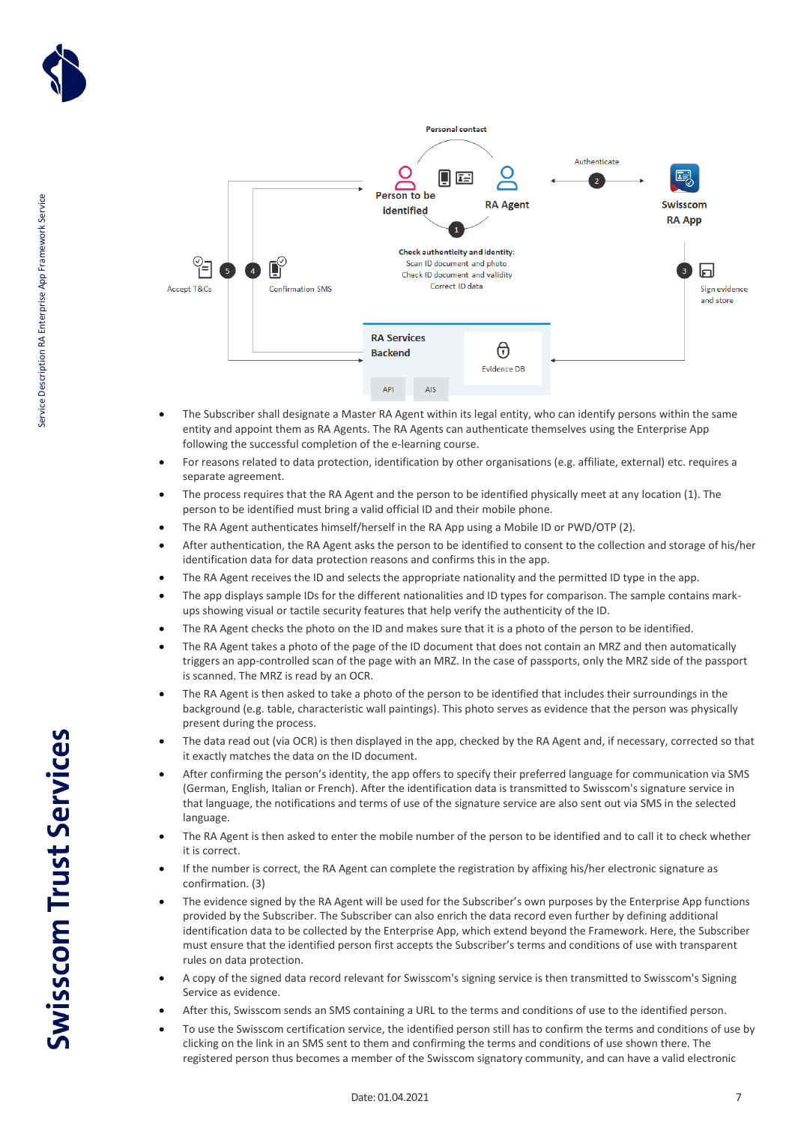



- The Subscriber shall designate a Master RA Agent within its legal entity, who can identify persons within the same entity and appoint them as RA Agents. The RA Agents can authenticate themselves using the Enterprise App following the successful completion of the e-learning course.
- For reasons related to data protection, identification by other organisations (e.g. affiliate, external) etc. requires a separate agreement.
- The process requires that the RA Agent and the person to be identified physically meet at any location (1). The person to be identified must bring a valid official ID and their mobile phone.
- The RA Agent authenticates himself/herself in the RA App using a Mobile ID or PWD/OTP (2).
- After authentication, the RA Agent asks the person to be identified to consent to the collection and storage of his/her identification data for data protection reasons and confirms this in the app.
- The RA Agent receives the ID and selects the appropriate nationality and the permitted ID type in the app.
- The app displays sample IDs for the different nationalities and ID types for comparison. The sample contains markups showing visual or tactile security features that help verify the authenticity of the ID.
- The RA Agent checks the photo on the ID and makes sure that it is a photo of the person to be identified.
- The RA Agent takes a photo of the page of the ID document that does not contain an MRZ and then automatically triggers an app-controlled scan of the page with an MRZ. In the case of passports, only the MRZ side of the passport is scanned. The MRZ is read by an OCR.
- The RA Agent is then asked to take a photo of the person to be identified that includes their surroundings in the background (e.g. table, characteristic wall paintings). This photo serves as evidence that the person was physically present during the process.
- The data read out (via OCR) is then displayed in the app, checked by the RA Agent and, if necessary, corrected so that it exactly matches the data on the ID document.
- After confirming the person's identity, the app offers to specify their preferred language for communication via SMS (German, English, Italian or French). After the identification data is transmitted to Swisscom's signature service in that language, the notifications and terms of use of the signature service are also sent out via SMS in the selected language.
- The RA Agent is then asked to enter the mobile number of the person to be identified and to call it to check whether it is correct.
- If the number is correct, the RA Agent can complete the registration by affixing his/her electronic signature as confirmation. (3)
- The evidence signed by the RA Agent will be used for the Subscriber's own purposes by the Enterprise App functions provided by the Subscriber. The Subscriber can also enrich the data record even further by defining additional identification data to be collected by the Enterprise App, which extend beyond the Framework. Here, the Subscriber must ensure that the identified person first accepts the Subscriber's terms and conditions of use with transparent rules on data protection.
- A copy of the signed data record relevant for Swisscom's signing service is then transmitted to Swisscom's Signing Service as evidence.
- After this, Swisscom sends an SMS containing a URL to the terms and conditions of use to the identified person.
- To use the Swisscom certification service, the identified person still has to confirm the terms and conditions of use by clicking on the link in an SMS sent to them and confirming the terms and conditions of use shown there. The registered person thus becomes a member of the Swisscom signatory community, and can have a valid electronic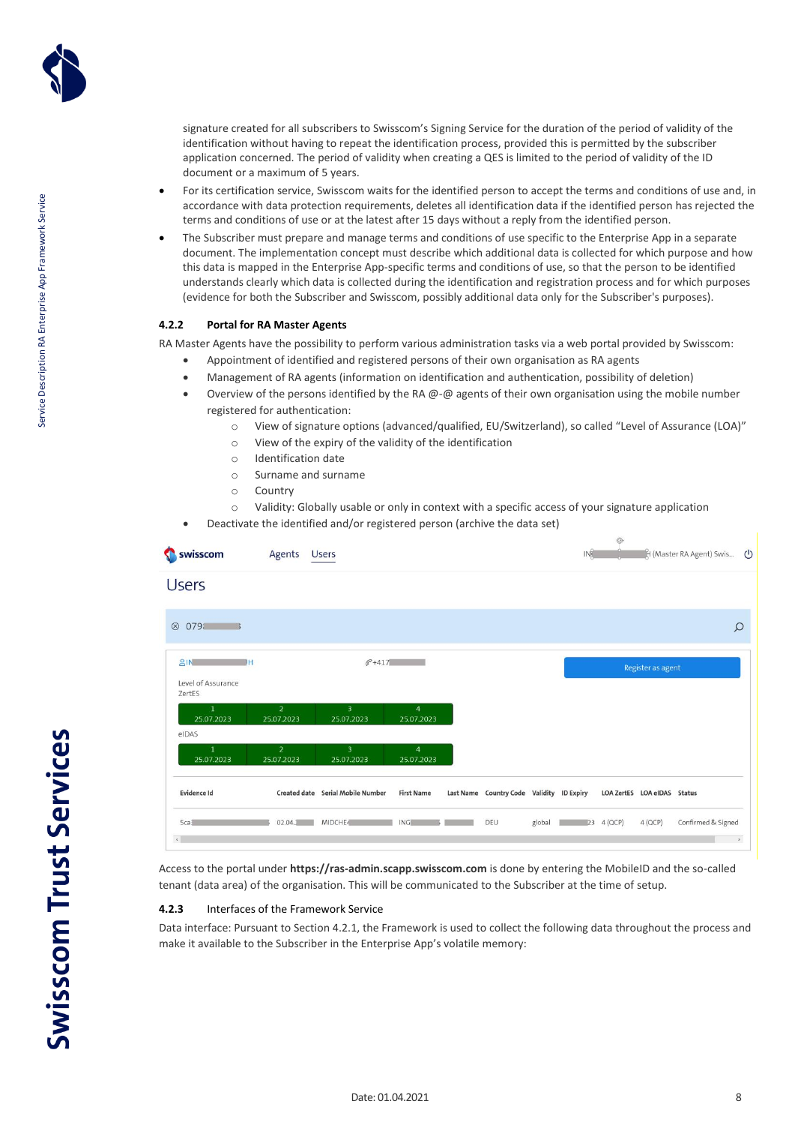

- For its certification service, Swisscom waits for the identified person to accept the terms and conditions of use and, in accordance with data protection requirements, deletes all identification data if the identified person has rejected the terms and conditions of use or at the latest after 15 days without a reply from the identified person.
- The Subscriber must prepare and manage terms and conditions of use specific to the Enterprise App in a separate document. The implementation concept must describe which additional data is collected for which purpose and how this data is mapped in the Enterprise App-specific terms and conditions of use, so that the person to be identified understands clearly which data is collected during the identification and registration process and for which purposes (evidence for both the Subscriber and Swisscom, possibly additional data only for the Subscriber's purposes).

### <span id="page-7-0"></span>**4.2.2 Portal for RA Master Agents**

RA Master Agents have the possibility to perform various administration tasks via a web portal provided by Swisscom:

- Appointment of identified and registered persons of their own organisation as RA agents
- Management of RA agents (information on identification and authentication, possibility of deletion)
- Overview of the persons identified by the RA  $\omega$ - $\omega$  agents of their own organisation using the mobile number registered for authentication:
	- o View of signature options (advanced/qualified, EU/Switzerland), so called "Level of Assurance (LOA)"
	- o View of the expiry of the validity of the identification
	- o Identification date
	- o Surname and surname
	- o Country
	- o Validity: Globally usable or only in context with a specific access of your signature application
- Deactivate the identified and/or registered person (archive the data set)

| swisscom                                 | Agents                       | <b>Users</b>                          |                              |                                           |        | IN <sup>2</sup> | G)         |                             | H (Master RA Agent) Swis (1) |               |
|------------------------------------------|------------------------------|---------------------------------------|------------------------------|-------------------------------------------|--------|-----------------|------------|-----------------------------|------------------------------|---------------|
| <b>Users</b>                             |                              |                                       |                              |                                           |        |                 |            |                             |                              |               |
| 0791<br>$\circledR$                      |                              |                                       |                              |                                           |        |                 |            |                             |                              | $\circ$       |
| 8N<br>DΗ<br>Level of Assurance<br>ZertES |                              | $C + 417$                             |                              |                                           |        |                 |            | Register as agent           |                              |               |
| $\mathbf{1}$<br>25.07.2023<br>eIDAS      | $\overline{2}$<br>25.07.2023 | $\overline{\mathbf{3}}$<br>25.07.2023 | $\overline{4}$<br>25.07.2023 |                                           |        |                 |            |                             |                              |               |
| $\mathbf{1}$<br>25.07.2023               | $\overline{2}$<br>25.07.2023 | $\overline{\mathbf{3}}$<br>25.07.2023 | $\overline{4}$<br>25.07.2023 |                                           |        |                 |            |                             |                              |               |
| Evidence Id                              |                              | Created date Serial Mobile Number     | <b>First Name</b>            | Last Name Country Code Validity ID Expiry |        |                 |            | LOA ZertES LOA eIDAS Status |                              |               |
| Sca3<br>$\epsilon$                       | 02.04.1                      | MIDCHE4                               | <b>ING</b>                   | DEU                                       | global |                 | 23 4 (QCP) | $4$ (QCP)                   | Confirmed & Signed           | $\rightarrow$ |

Access to the portal under **https://ras-admin.scapp.swisscom.com** is done by entering the MobileID and the so-called tenant (data area) of the organisation. This will be communicated to the Subscriber at the time of setup.

### <span id="page-7-1"></span>**4.2.3** Interfaces of the Framework Service

Data interface: Pursuant to Sectio[n 4.2.1,](#page-5-2) the Framework is used to collect the following data throughout the process and make it available to the Subscriber in the Enterprise App's volatile memory: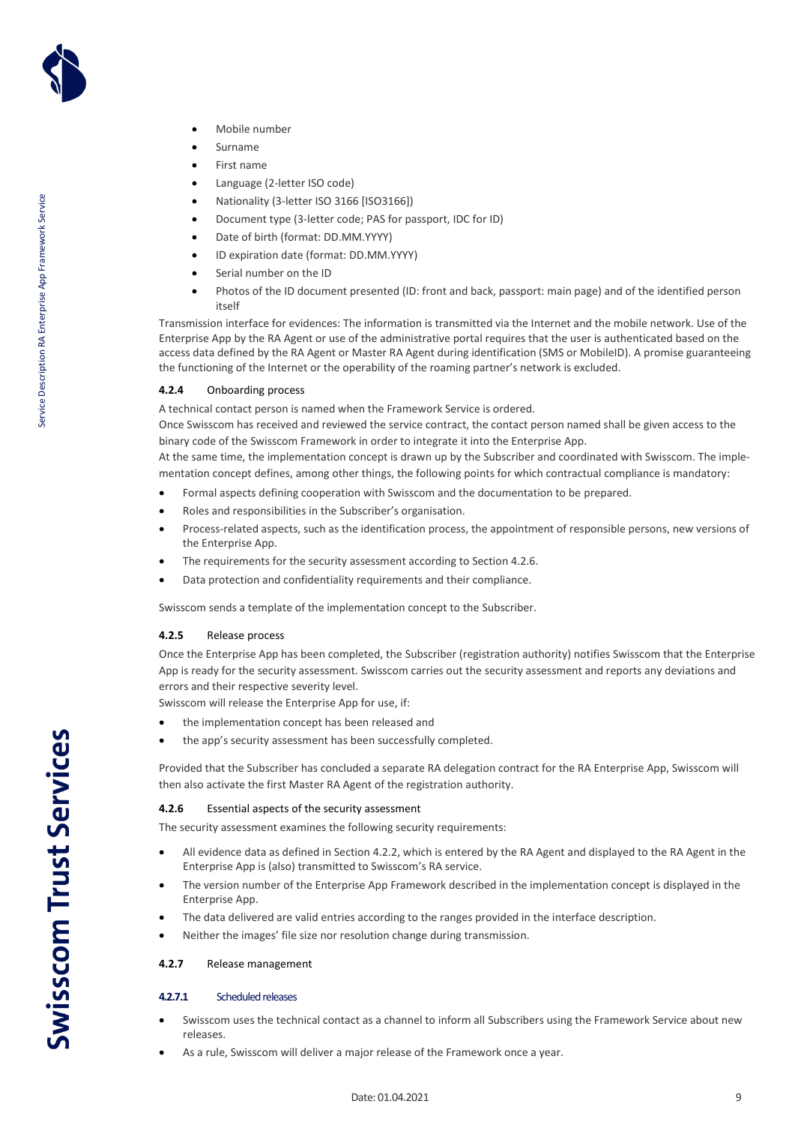

- Mobile number
- Surname
- First name
- Language (2-letter ISO code)
- Nationality (3-letter ISO 3166 [ISO3166])
- Document type (3-letter code; PAS for passport, IDC for ID)
- Date of birth (format: DD.MM.YYYY)
- ID expiration date (format: DD.MM.YYYY)
- Serial number on the ID
- Photos of the ID document presented (ID: front and back, passport: main page) and of the identified person itself

Transmission interface for evidences: The information is transmitted via the Internet and the mobile network. Use of the Enterprise App by the RA Agent or use of the administrative portal requires that the user is authenticated based on the access data defined by the RA Agent or Master RA Agent during identification (SMS or MobileID). A promise guaranteeing the functioning of the Internet or the operability of the roaming partner's network is excluded.

### <span id="page-8-0"></span>**4.2.4** Onboarding process

A technical contact person is named when the Framework Service is ordered.

Once Swisscom has received and reviewed the service contract, the contact person named shall be given access to the binary code of the Swisscom Framework in order to integrate it into the Enterprise App.

At the same time, the implementation concept is drawn up by the Subscriber and coordinated with Swisscom. The implementation concept defines, among other things, the following points for which contractual compliance is mandatory:

- Formal aspects defining cooperation with Swisscom and the documentation to be prepared.
- Roles and responsibilities in the Subscriber's organisation.
- Process-related aspects, such as the identification process, the appointment of responsible persons, new versions of the Enterprise App.
- The requirements for the security assessment according to Sectio[n 4.2.6.](#page-8-2)
- Data protection and confidentiality requirements and their compliance.

Swisscom sends a template of the implementation concept to the Subscriber.

### <span id="page-8-1"></span>**4.2.5** Release process

Once the Enterprise App has been completed, the Subscriber (registration authority) notifies Swisscom that the Enterprise App is ready for the security assessment. Swisscom carries out the security assessment and reports any deviations and errors and their respective severity level.

Swisscom will release the Enterprise App for use, if:

- the implementation concept has been released and
- the app's security assessment has been successfully completed.

Provided that the Subscriber has concluded a separate RA delegation contract for the RA Enterprise App, Swisscom will then also activate the first Master RA Agent of the registration authority.

### <span id="page-8-2"></span>**4.2.6** Essential aspects of the security assessment

The security assessment examines the following security requirements:

- All evidence data as defined in Sectio[n 4.2.2,](#page-7-0) which is entered by the RA Agent and displayed to the RA Agent in the Enterprise App is (also) transmitted to Swisscom's RA service.
- The version number of the Enterprise App Framework described in the implementation concept is displayed in the Enterprise App.
- The data delivered are valid entries according to the ranges provided in the interface description.
- Neither the images' file size nor resolution change during transmission.

### <span id="page-8-3"></span>**4.2.7** Release management

### **4.2.7.1** Scheduled releases

- Swisscom uses the technical contact as a channel to inform all Subscribers using the Framework Service about new releases.
- As a rule, Swisscom will deliver a major release of the Framework once a year.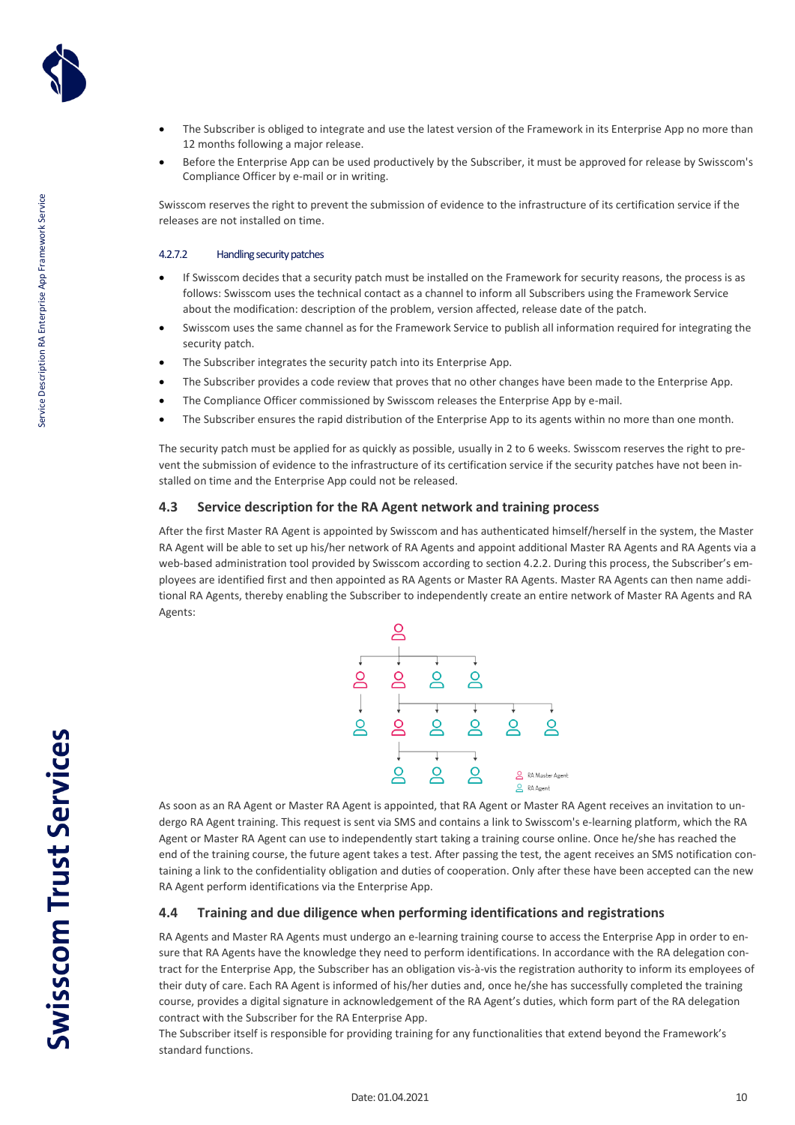

- The Subscriber is obliged to integrate and use the latest version of the Framework in its Enterprise App no more than 12 months following a major release.
- Before the Enterprise App can be used productively by the Subscriber, it must be approved for release by Swisscom's Compliance Officer by e-mail or in writing.

Swisscom reserves the right to prevent the submission of evidence to the infrastructure of its certification service if the releases are not installed on time.

### 4.2.7.2 Handling security patches

- If Swisscom decides that a security patch must be installed on the Framework for security reasons, the process is as follows: Swisscom uses the technical contact as a channel to inform all Subscribers using the Framework Service about the modification: description of the problem, version affected, release date of the patch.
- Swisscom uses the same channel as for the Framework Service to publish all information required for integrating the security patch.
- The Subscriber integrates the security patch into its Enterprise App.
- The Subscriber provides a code review that proves that no other changes have been made to the Enterprise App.
- The Compliance Officer commissioned by Swisscom releases the Enterprise App by e-mail.
- The Subscriber ensures the rapid distribution of the Enterprise App to its agents within no more than one month.

The security patch must be applied for as quickly as possible, usually in 2 to 6 weeks. Swisscom reserves the right to prevent the submission of evidence to the infrastructure of its certification service if the security patches have not been installed on time and the Enterprise App could not be released.

### <span id="page-9-0"></span>**4.3 Service description for the RA Agent network and training process**

After the first Master RA Agent is appointed by Swisscom and has authenticated himself/herself in the system, the Master RA Agent will be able to set up his/her network of RA Agents and appoint additional Master RA Agents and RA Agents via a web-based administration tool provided by Swisscom according to section 4.2.2. During this process, the Subscriber's employees are identified first and then appointed as RA Agents or Master RA Agents. Master RA Agents can then name additional RA Agents, thereby enabling the Subscriber to independently create an entire network of Master RA Agents and RA Agents:



As soon as an RA Agent or Master RA Agent is appointed, that RA Agent or Master RA Agent receives an invitation to undergo RA Agent training. This request is sent via SMS and contains a link to Swisscom's e-learning platform, which the RA Agent or Master RA Agent can use to independently start taking a training course online. Once he/she has reached the end of the training course, the future agent takes a test. After passing the test, the agent receives an SMS notification containing a link to the confidentiality obligation and duties of cooperation. Only after these have been accepted can the new RA Agent perform identifications via the Enterprise App.

### <span id="page-9-1"></span>**4.4 Training and due diligence when performing identifications and registrations**

RA Agents and Master RA Agents must undergo an e-learning training course to access the Enterprise App in order to ensure that RA Agents have the knowledge they need to perform identifications. In accordance with the RA delegation contract for the Enterprise App, the Subscriber has an obligation vis-à-vis the registration authority to inform its employees of their duty of care. Each RA Agent is informed of his/her duties and, once he/she has successfully completed the training course, provides a digital signature in acknowledgement of the RA Agent's duties, which form part of the RA delegation contract with the Subscriber for the RA Enterprise App.

The Subscriber itself is responsible for providing training for any functionalities that extend beyond the Framework's standard functions.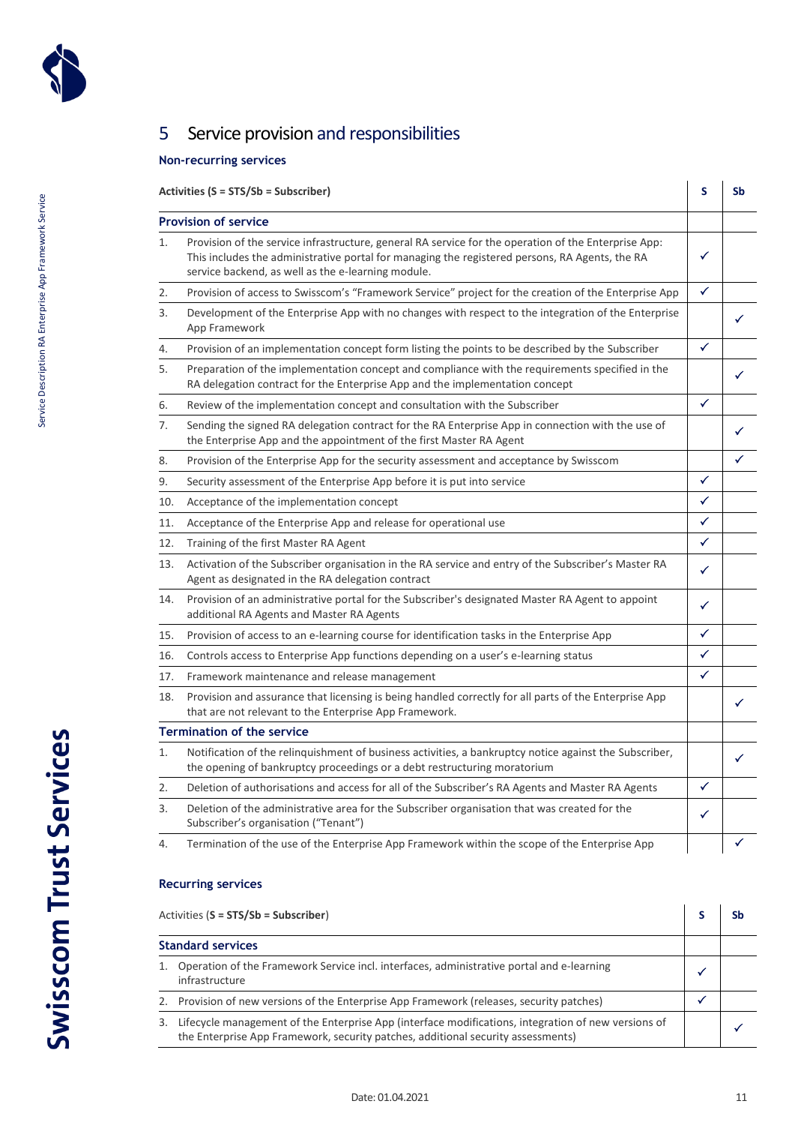

Service Description RA Enterprise App Framework Service

Service Description RA Enterprise App Framework Service

# <span id="page-10-0"></span>5 Service provision and responsibilities

### **Non-recurring services**

### **Activities (S = STS/Sb = Subscriber) S Sb Provision of service** 1. Provision of the service infrastructure, general RA service for the operation of the Enterprise App: This includes the administrative portal for managing the registered persons, RA Agents, the RA service backend, as well as the e-learning module.  $\checkmark$ 2. Provision of access to Swisscom's "Framework Service" project for the creation of the Enterprise App  $\overrightarrow{v}$ 3. Development of the Enterprise App with no changes with respect to the integration of the Enterprise App Framework 4. Provision of an implementation concept form listing the points to be described by the Subscriber 5. Preparation of the implementation concept and compliance with the requirements specified in the RA delegation contract for the Enterprise App and the implementation concept 6. Review of the implementation concept and consultation with the Subscriber  $\begin{vmatrix} \checkmark & \checkmark \end{vmatrix}$ 7. Sending the signed RA delegation contract for the RA Enterprise App in connection with the use of the Enterprise App and the appointment of the first Master RA Agent 8. Provision of the Enterprise App for the security assessment and acceptance by Swisscom 9. Security assessment of the Enterprise App before it is put into service  $\blacktriangledown$ 10. Acceptance of the implementation concept  $\begin{array}{c} \downarrow \\ \downarrow \end{array}$ 11. Acceptance of the Enterprise App and release for operational use 12. Training of the first Master RA Agent 13. Activation of the Subscriber organisation in the RA service and entry of the Subscriber's Master RA Agent as designated in the RA delegation contract  $\checkmark$  and the set 14. Provision of an administrative portal for the Subscriber's designated Master RA Agent to appoint additional RA Agents and Master RA Agents  $\checkmark$ 15. Provision of access to an e-learning course for identification tasks in the Enterprise App 16. Controls access to Enterprise App functions depending on a user's e-learning status 17. Framework maintenance and release management and the state of the state of the state of the state of the state of the state of the state of the state of the state of the state of the state of the state of the state of 18. Provision and assurance that licensing is being handled correctly for all parts of the Enterprise App that are not relevant to the Enterprise App Framework. **Termination of the service** 1. Notification of the relinquishment of business activities, a bankruptcy notice against the Subscriber, the opening of bankruptcy proceedings or a debt restructuring moratorium 2. Deletion of authorisations and access for all of the Subscriber's RA Agents and Master RA Agents 3. Deletion of the administrative area for the Subscriber organisation that was created for the Subscriber's organisation ("Tenant")  $\checkmark$

# 4. Termination of the use of the Enterprise App Framework within the scope of the Enterprise App

### **Recurring services**

| Activities (S = STS/Sb = Subscriber)                                                                                                                                                    |  |  |  |
|-----------------------------------------------------------------------------------------------------------------------------------------------------------------------------------------|--|--|--|
| <b>Standard services</b>                                                                                                                                                                |  |  |  |
| Operation of the Framework Service incl. interfaces, administrative portal and e-learning<br>infrastructure                                                                             |  |  |  |
| Provision of new versions of the Enterprise App Framework (releases, security patches)                                                                                                  |  |  |  |
| Lifecycle management of the Enterprise App (interface modifications, integration of new versions of<br>the Enterprise App Framework, security patches, additional security assessments) |  |  |  |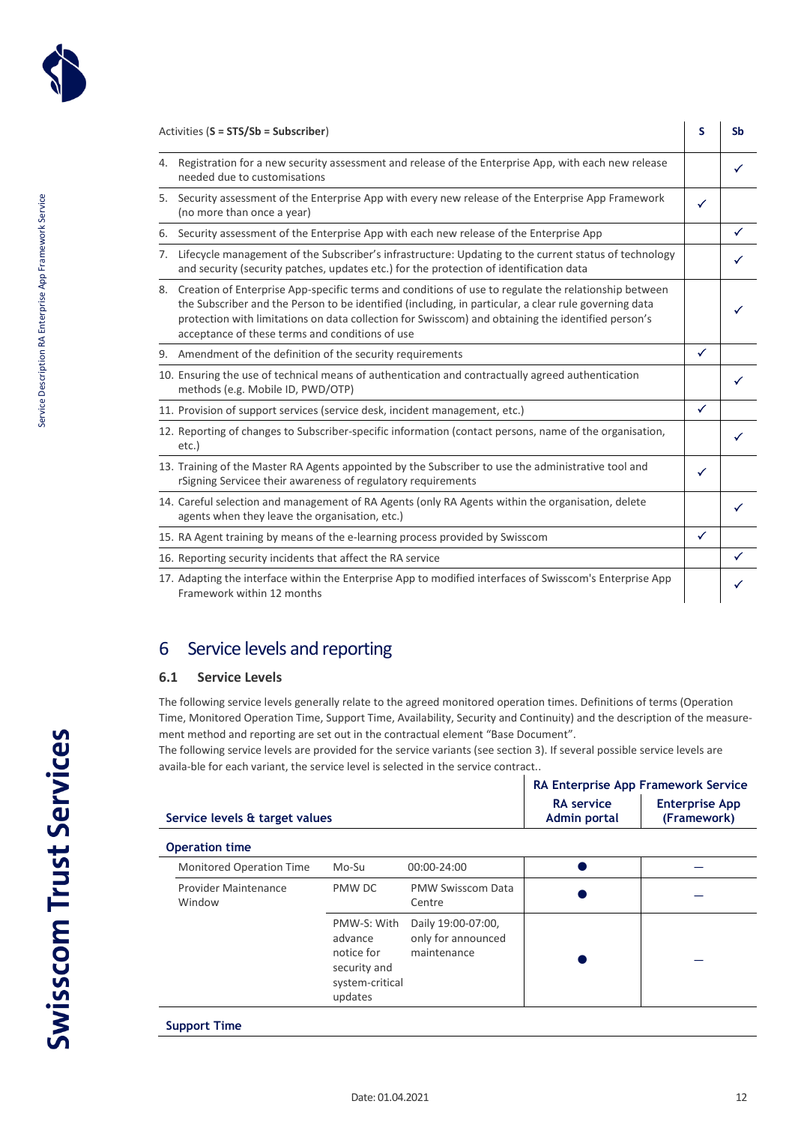

|    | Activities (S = STS/Sb = Subscriber)                                                                                                                                                                                                                                                                                                                                      | s            | Sb           |
|----|---------------------------------------------------------------------------------------------------------------------------------------------------------------------------------------------------------------------------------------------------------------------------------------------------------------------------------------------------------------------------|--------------|--------------|
|    | 4. Registration for a new security assessment and release of the Enterprise App, with each new release<br>needed due to customisations                                                                                                                                                                                                                                    |              | ✓            |
|    | 5. Security assessment of the Enterprise App with every new release of the Enterprise App Framework<br>(no more than once a year)                                                                                                                                                                                                                                         | ✓            |              |
| 6. | Security assessment of the Enterprise App with each new release of the Enterprise App                                                                                                                                                                                                                                                                                     |              | ✓            |
| 7. | Lifecycle management of the Subscriber's infrastructure: Updating to the current status of technology<br>and security (security patches, updates etc.) for the protection of identification data                                                                                                                                                                          |              |              |
|    | 8. Creation of Enterprise App-specific terms and conditions of use to regulate the relationship between<br>the Subscriber and the Person to be identified (including, in particular, a clear rule governing data<br>protection with limitations on data collection for Swisscom) and obtaining the identified person's<br>acceptance of these terms and conditions of use |              | ✓            |
|    | 9. Amendment of the definition of the security requirements                                                                                                                                                                                                                                                                                                               | $\checkmark$ |              |
|    | 10. Ensuring the use of technical means of authentication and contractually agreed authentication<br>methods (e.g. Mobile ID, PWD/OTP)                                                                                                                                                                                                                                    |              |              |
|    | 11. Provision of support services (service desk, incident management, etc.)                                                                                                                                                                                                                                                                                               | $\checkmark$ |              |
|    | 12. Reporting of changes to Subscriber-specific information (contact persons, name of the organisation,<br>$etc.$ )                                                                                                                                                                                                                                                       |              | ✓            |
|    | 13. Training of the Master RA Agents appointed by the Subscriber to use the administrative tool and<br>rSigning Servicee their awareness of regulatory requirements                                                                                                                                                                                                       | $\checkmark$ |              |
|    | 14. Careful selection and management of RA Agents (only RA Agents within the organisation, delete<br>agents when they leave the organisation, etc.)                                                                                                                                                                                                                       |              |              |
|    | 15. RA Agent training by means of the e-learning process provided by Swisscom                                                                                                                                                                                                                                                                                             | $\checkmark$ |              |
|    | 16. Reporting security incidents that affect the RA service                                                                                                                                                                                                                                                                                                               |              | $\checkmark$ |
|    | 17. Adapting the interface within the Enterprise App to modified interfaces of Swisscom's Enterprise App<br>Framework within 12 months                                                                                                                                                                                                                                    |              | ✓            |

# <span id="page-11-0"></span>6 Service levels and reporting

### <span id="page-11-1"></span>**6.1 Service Levels**

**Operation time**

The following service levels generally relate to the agreed monitored operation times. Definitions of terms (Operation Time, Monitored Operation Time, Support Time, Availability, Security and Continuity) and the description of the measurement method and reporting are set out in the contractual element "Base Document".

The following service levels are provided for the service variants (see section 3). If several possible service levels are availa-ble for each variant, the service level is selected in the service contract..

|                                | RA Enterprise App Framework Service      |                                      |
|--------------------------------|------------------------------------------|--------------------------------------|
| Service levels & target values | <b>RA</b> service<br><b>Admin portal</b> | <b>Enterprise App</b><br>(Framework) |
|                                |                                          |                                      |

| <b>OPERATION CHILE</b>                |                                                                                    |                                                         |  |  |  |  |  |
|---------------------------------------|------------------------------------------------------------------------------------|---------------------------------------------------------|--|--|--|--|--|
| <b>Monitored Operation Time</b>       | Mo-Su                                                                              | 00:00-24:00                                             |  |  |  |  |  |
| <b>Provider Maintenance</b><br>Window | PMW DC                                                                             | <b>PMW Swisscom Data</b><br>Centre                      |  |  |  |  |  |
|                                       | PMW-S: With<br>advance<br>notice for<br>security and<br>system-critical<br>updates | Daily 19:00-07:00,<br>only for announced<br>maintenance |  |  |  |  |  |
|                                       |                                                                                    |                                                         |  |  |  |  |  |

### **Support Time**

**Swisscom Trust Services**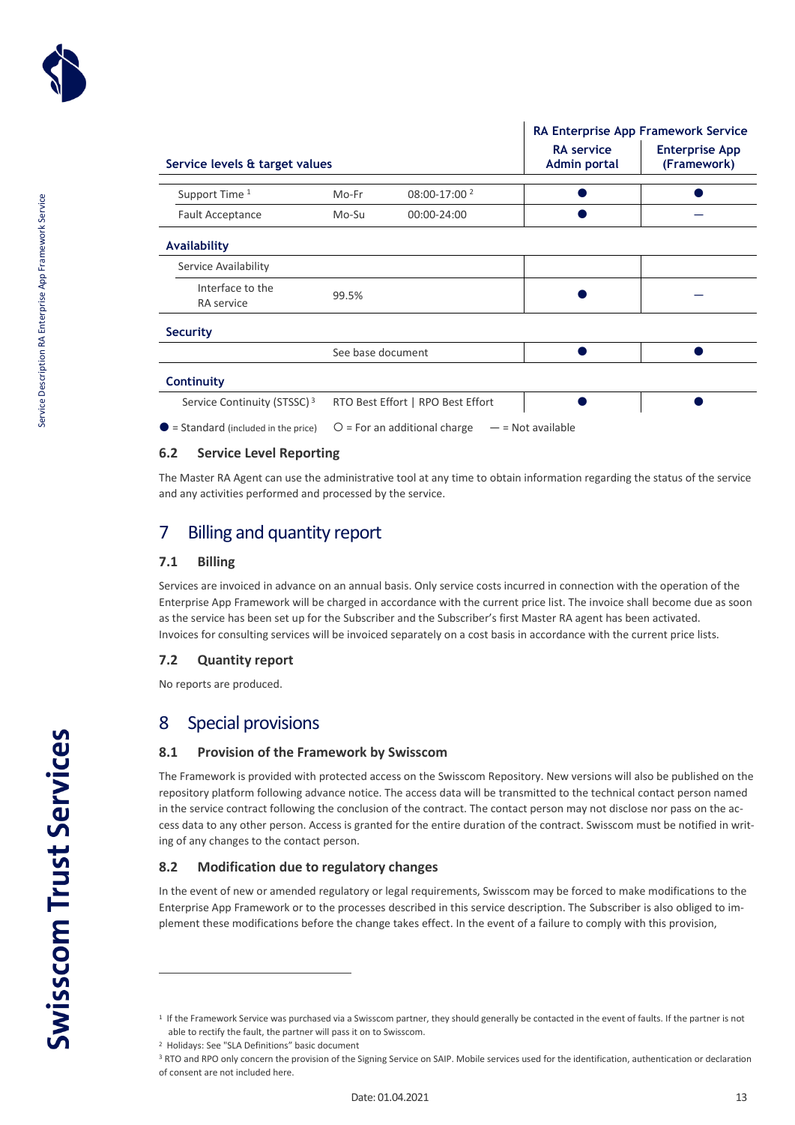

|                                              |                   |                                   | <b>RA Enterprise App Framework Service</b> |                                      |  |  |
|----------------------------------------------|-------------------|-----------------------------------|--------------------------------------------|--------------------------------------|--|--|
| Service levels & target values               |                   |                                   | <b>RA</b> service<br><b>Admin portal</b>   | <b>Enterprise App</b><br>(Framework) |  |  |
| Support Time 1                               | Mo-Fr             | 08:00-17:00 <sup>2</sup>          |                                            |                                      |  |  |
| <b>Fault Acceptance</b>                      | Mo-Su             | 00:00-24:00                       |                                            |                                      |  |  |
| <b>Availability</b>                          |                   |                                   |                                            |                                      |  |  |
| Service Availability                         |                   |                                   |                                            |                                      |  |  |
| Interface to the<br><b>RA</b> service        | 99.5%             |                                   |                                            |                                      |  |  |
| <b>Security</b>                              |                   |                                   |                                            |                                      |  |  |
|                                              | See base document |                                   |                                            |                                      |  |  |
| <b>Continuity</b>                            |                   |                                   |                                            |                                      |  |  |
| Service Continuity (STSSC) <sup>3</sup>      |                   | RTO Best Effort   RPO Best Effort |                                            |                                      |  |  |
| $\bullet$ = Standard (included in the price) |                   | $O$ = For an additional charge    | $-$ = Not available                        |                                      |  |  |

### <span id="page-12-0"></span>**6.2 Service Level Reporting**

The Master RA Agent can use the administrative tool at any time to obtain information regarding the status of the service and any activities performed and processed by the service.

# <span id="page-12-1"></span>7 Billing and quantity report

### <span id="page-12-2"></span>**7.1 Billing**

Services are invoiced in advance on an annual basis. Only service costs incurred in connection with the operation of the Enterprise App Framework will be charged in accordance with the current price list. The invoice shall become due as soon as the service has been set up for the Subscriber and the Subscriber's first Master RA agent has been activated. Invoices for consulting services will be invoiced separately on a cost basis in accordance with the current price lists.

### <span id="page-12-3"></span>**7.2 Quantity report**

<span id="page-12-4"></span>No reports are produced.

## 8 Special provisions

### <span id="page-12-5"></span>**8.1 Provision of the Framework by Swisscom**

The Framework is provided with protected access on the Swisscom Repository. New versions will also be published on the repository platform following advance notice. The access data will be transmitted to the technical contact person named in the service contract following the conclusion of the contract. The contact person may not disclose nor pass on the access data to any other person. Access is granted for the entire duration of the contract. Swisscom must be notified in writing of any changes to the contact person.

### <span id="page-12-6"></span>**8.2 Modification due to regulatory changes**

In the event of new or amended regulatory or legal requirements, Swisscom may be forced to make modifications to the Enterprise App Framework or to the processes described in this service description. The Subscriber is also obliged to implement these modifications before the change takes effect. In the event of a failure to comply with this provision,

<sup>&</sup>lt;sup>1</sup> If the Framework Service was purchased via a Swisscom partner, they should generally be contacted in the event of faults. If the partner is not able to rectify the fault, the partner will pass it on to Swisscom.

<sup>2</sup> Holidays: See "SLA Definitions" basic document

<sup>&</sup>lt;sup>3</sup> RTO and RPO only concern the provision of the Signing Service on SAIP. Mobile services used for the identification, authentication or declaration of consent are not included here.